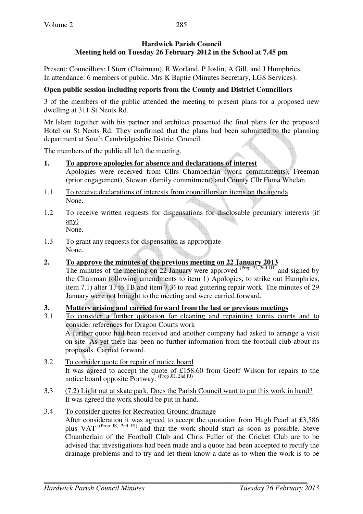## **Hardwick Parish Council Meeting held on Tuesday 26 February 2012 in the School at 7.45 pm**

Present: Councillors: I Storr (Chairman), R Worland, P Joslin, A Gill, and J Humphries. In attendance: 6 members of public. Mrs K Baptie (Minutes Secretary, LGS Services).

# **Open public session including reports from the County and District Councillors**

3 of the members of the public attended the meeting to present plans for a proposed new dwelling at 311 St Neots Rd.

Mr Islam together with his partner and architect presented the final plans for the proposed Hotel on St Neots Rd. They confirmed that the plans had been submitted to the planning department at South Cambridgeshire District Council.

The members of the public all left the meeting.

- **1. To approve apologies for absence and declarations of interest** Apologies were received from Cllrs Chamberlain (work commitments), Freeman (prior engagement), Stewart (family commitment) and County Cllr Fiona Whelan.
- 1.1 To receive declarations of interests from councillors on items on the agenda None.
- 1.2 To receive written requests for dispensations for disclosable pecuniary interests (if any) None.
- 1.3 To grant any requests for dispensation as appropriate None.
- **2. To approve the minutes of the previous meeting on 22 January 2013**

The minutes of the meeting on 22 January were approved (Prop PJ, 2nd JH) and signed by the Chairman following amendments to item 1) Apologies, to strike out Humphries, item 7.1) alter TJ to TB and item 7.3) to read guttering repair work. The minutes of 29 January were not brought to the meeting and were carried forward.

# **3. Matters arising and carried forward from the last or previous meetings**

- 3.1 To consider a further quotation for cleaning and repainting tennis courts and to consider references for Dragon Courts work A further quote had been received and another company had asked to arrange a visit on site. As yet there has been no further information from the football club about its proposals. Carried forward.
- 3.2 To consider quote for repair of notice board It was agreed to accept the quote of £158.60 from Geoff Wilson for repairs to the notice board opposite Portway. (Prop JH, 2nd PJ)
- 3.3 (7.2) Light out at skate park. Does the Parish Council want to put this work in hand? It was agreed the work should be put in hand.
- 3.4 To consider quotes for Recreation Ground drainage After consideration it was agreed to accept the quotation from Hugh Pearl at £3,586 plus VAT <sup>(Prop IS, 2nd PJ)</sup> and that the work should start as soon as possible. Steve Chamberlain of the Football Club and Chris Fuller of the Cricket Club are to be advised that investigations had been made and a quote had been accepted to rectify the drainage problems and to try and let them know a date as to when the work is to be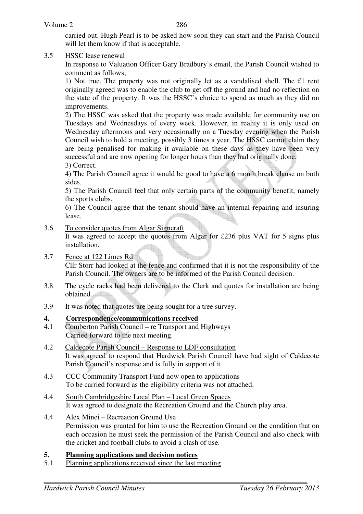carried out. Hugh Pearl is to be asked how soon they can start and the Parish Council will let them know if that is acceptable.

#### 3.5 HSSC lease renewal

 In response to Valuation Officer Gary Bradbury's email, the Parish Council wished to comment as follows;

 1) Not true. The property was not originally let as a vandalised shell. The £1 rent originally agreed was to enable the club to get off the ground and had no reflection on the state of the property. It was the HSSC's choice to spend as much as they did on improvements.

 2) The HSSC was asked that the property was made available for community use on Tuesdays and Wednesdays of every week. However, in reality it is only used on Wednesday afternoons and very occasionally on a Tuesday evening when the Parish Council wish to hold a meeting, possibly 3 times a year. The HSSC cannot claim they are being penalised for making it available on these days as they have been very successful and are now opening for longer hours than they had originally done. 3) Correct.

 4) The Parish Council agree it would be good to have a 6 month break clause on both sides.

 5) The Parish Council feel that only certain parts of the community benefit, namely the sports clubs.

 6) The Council agree that the tenant should have an internal repairing and insuring lease.

#### 3.6 To consider quotes from Algar Signcraft

 It was agreed to accept the quotes from Algar for £236 plus VAT for 5 signs plus installation.

- 3.7 Fence at 122 Limes Rd Cllr Storr had looked at the fence and confirmed that it is not the responsibility of the Parish Council. The owners are to be informed of the Parish Council decision.
- 3.8 The cycle racks had been delivered to the Clerk and quotes for installation are being obtained.
- 3.9 It was noted that quotes are being sought for a tree survey.

#### **4. Correspondence/communications received**

- 4.1 Comberton Parish Council re Transport and Highways Carried forward to the next meeting.
- 4.2 Caldecote Parish Council Response to LDF consultation It was agreed to respond that Hardwick Parish Council have had sight of Caldecote Parish Council's response and is fully in support of it.
- 4.3 CCC Community Transport Fund now open to applications To be carried forward as the eligibility criteria was not attached.
- 4.4 South Cambridgeshire Local Plan Local Green Spaces It was agreed to designate the Recreation Ground and the Church play area.
- 4.4 Alex Minei Recreation Ground Use Permission was granted for him to use the Recreation Ground on the condition that on each occasion he must seek the permission of the Parish Council and also check with the cricket and football clubs to avoid a clash of use.

#### **5. Planning applications and decision notices**

5.1 Planning applications received since the last meeting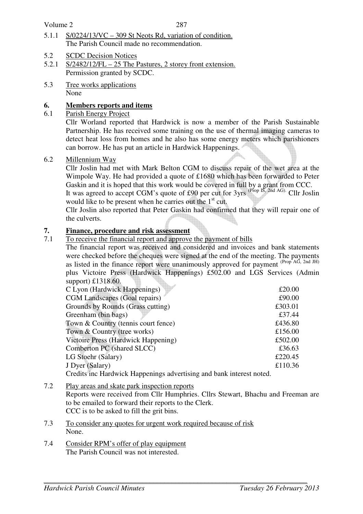Volume 2

- 5.1.1 S/0224/13/VC 309 St Neots Rd, variation of condition. The Parish Council made no recommendation.
- 5.2 SCDC Decision Notices
- 5.2.1 S/2482/12/FL 25 The Pastures, 2 storey front extension. Permission granted by SCDC.
- 5.3 Tree works applications None

## **6. Members reports and items**

6.1 Parish Energy Project

 Cllr Worland reported that Hardwick is now a member of the Parish Sustainable Partnership. He has received some training on the use of thermal imaging cameras to detect heat loss from homes and he also has some energy meters which parishioners can borrow. He has put an article in Hardwick Happenings.

#### 6.2 Millennium Way

 Cllr Joslin had met with Mark Belton CGM to discuss repair of the wet area at the Wimpole Way. He had provided a quote of £1680 which has been forwarded to Peter Gaskin and it is hoped that this work would be covered in full by a grant from CCC.

It was agreed to accept CGM's quote of £90 per cut for  $3yrs$  (Prop IS, 2nd AG). Cllr Joslin would like to be present when he carries out the  $1<sup>st</sup>$  cut.

Cllr Joslin also reported that Peter Gaskin had confirmed that they will repair one of the culverts.

#### **7. Finance, procedure and risk assessment**

7.1 To receive the financial report and approve the payment of bills

The financial report was received and considered and invoices and bank statements were checked before the cheques were signed at the end of the meeting. The payments as listed in the finance report were unanimously approved for payment (Prop AG, 2nd JH) plus Victoire Press (Hardwick Happenings) £502.00 and LGS Services (Admin support)  $£1318.60$ .

| C Lyon (Hardwick Happenings)                                         | £20.00  |
|----------------------------------------------------------------------|---------|
| <b>CGM Landscapes (Goal repairs)</b>                                 | £90.00  |
| Grounds by Rounds (Grass cutting)                                    | £303.01 |
| Greenham (bin bags)                                                  | £37.44  |
| Town & Country (tennis court fence)                                  | £436.80 |
| Town & Country (tree works)                                          | £156.00 |
| Victoire Press (Hardwick Happening)                                  | £502.00 |
| Comberton PC (shared SLCC)                                           | £36.63  |
| LG Stoehr (Salary)                                                   | £220.45 |
| J Dyer (Salary)                                                      | £110.36 |
| Credits inc Hardwick Happenings advertising and bank interest noted. |         |

7.2 Play areas and skate park inspection reports

 Reports were received from Cllr Humphries. Cllrs Stewart, Bhachu and Freeman are to be emailed to forward their reports to the Clerk. CCC is to be asked to fill the grit bins.

- 7.3 To consider any quotes for urgent work required because of risk None.
- 7.4 Consider RPM's offer of play equipment The Parish Council was not interested.